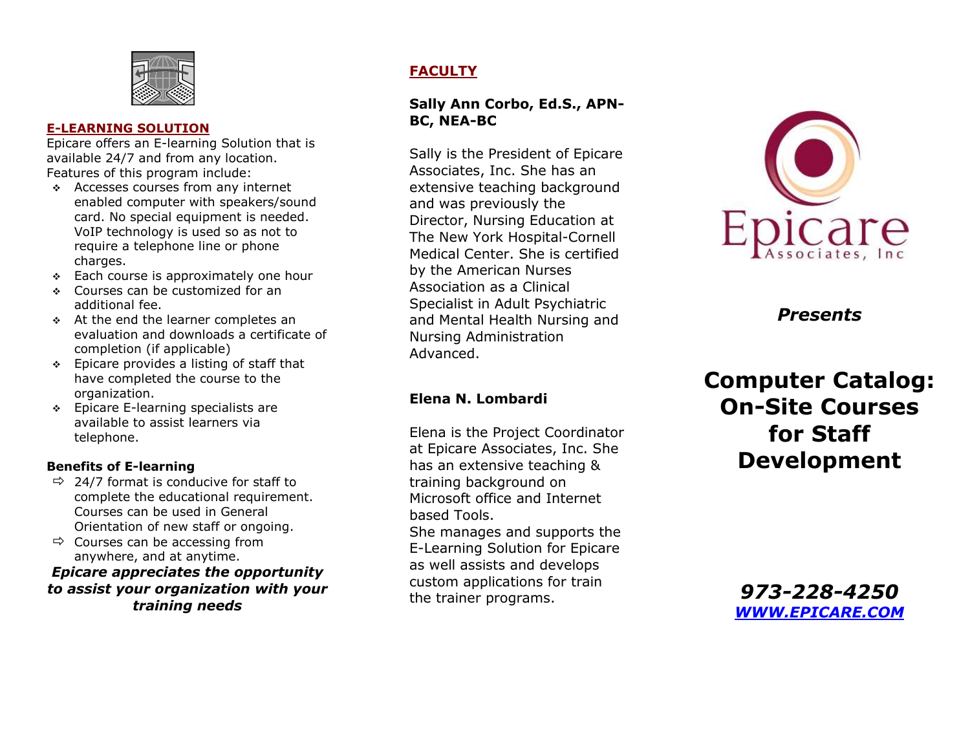

#### **E-LEARNING SOLUTION**

Epicare offers an E-learning Solution that is available 24/7 and from any location. Features of this program include:

- Accesses courses from any internet enabled computer with speakers/sound card. No special equipment is needed. VoIP technology is used so as not to require a telephone line or phone charges.
- $\div$  Each course is approximately one hour
- Courses can be customized for an additional fee.
- At the end the learner completes an evaluation and downloads a certificate of completion (if applicable)
- $\div$  Epicare provides a listing of staff that have completed the course to the organization.
- ◆ Epicare E-learning specialists are available to assist learners via telephone.

#### **Benefits of E-learning**

- $\Rightarrow$  24/7 format is conducive for staff to complete the educational requirement. Courses can be used in General Orientation of new staff or ongoing.
- $\Rightarrow$  Courses can be accessing from anywhere, and at anytime.

*Epicare appreciates the opportunity to assist your organization with your training needs*

### **FACULTY**

#### **Sally Ann Corbo, Ed.S., APN-BC, NEA-BC**

Sally is the President of Epicare Associates, Inc. She has an extensive teaching background and was previously the Director, Nursing Education at The New York Hospital-Cornell Medical Center. She is certified by the American Nurses Association as a Clinical Specialist in Adult Psychiatric and Mental Health Nursing and Nursing Administration Advanced.

#### **Elena N. Lombardi**

Elena is the Project Coordinator at Epicare Associates, Inc. She has an extensive teaching & training background on Microsoft office and Internet based Tools.

She manages and supports the E-Learning Solution for Epicare as well assists and develops custom applications for train the trainer programs.



*Presents*

# **Computer Catalog: On-Site Courses for Staff Development**